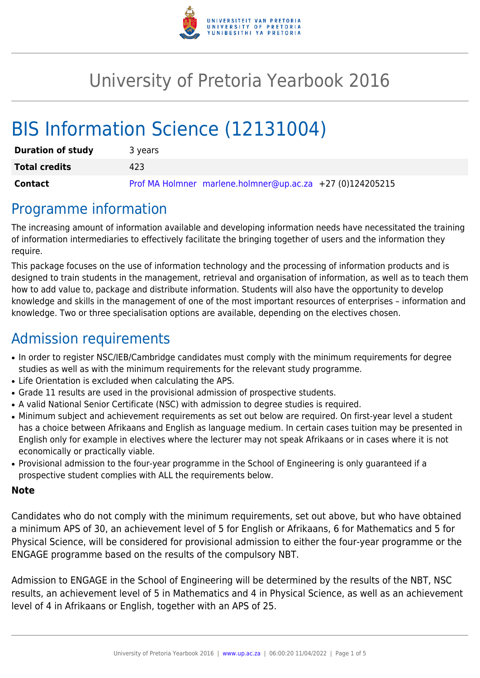

# University of Pretoria Yearbook 2016

# BIS Information Science (12131004)

| <b>Duration of study</b> | 3 years                                                   |
|--------------------------|-----------------------------------------------------------|
| <b>Total credits</b>     | 423                                                       |
| Contact                  | Prof MA Holmner marlene.holmner@up.ac.za +27 (0)124205215 |

# Programme information

The increasing amount of information available and developing information needs have necessitated the training of information intermediaries to effectively facilitate the bringing together of users and the information they require.

This package focuses on the use of information technology and the processing of information products and is designed to train students in the management, retrieval and organisation of information, as well as to teach them how to add value to, package and distribute information. Students will also have the opportunity to develop knowledge and skills in the management of one of the most important resources of enterprises – information and knowledge. Two or three specialisation options are available, depending on the electives chosen.

# Admission requirements

- In order to register NSC/IEB/Cambridge candidates must comply with the minimum requirements for degree studies as well as with the minimum requirements for the relevant study programme.
- Life Orientation is excluded when calculating the APS.
- Grade 11 results are used in the provisional admission of prospective students.
- A valid National Senior Certificate (NSC) with admission to degree studies is required.
- Minimum subject and achievement requirements as set out below are required. On first-year level a student has a choice between Afrikaans and English as language medium. In certain cases tuition may be presented in English only for example in electives where the lecturer may not speak Afrikaans or in cases where it is not economically or practically viable.
- Provisional admission to the four-year programme in the School of Engineering is only guaranteed if a prospective student complies with ALL the requirements below.

#### **Note**

Candidates who do not comply with the minimum requirements, set out above, but who have obtained a minimum APS of 30, an achievement level of 5 for English or Afrikaans, 6 for Mathematics and 5 for Physical Science, will be considered for provisional admission to either the four-year programme or the ENGAGE programme based on the results of the compulsory NBT.

Admission to ENGAGE in the School of Engineering will be determined by the results of the NBT, NSC results, an achievement level of 5 in Mathematics and 4 in Physical Science, as well as an achievement level of 4 in Afrikaans or English, together with an APS of 25.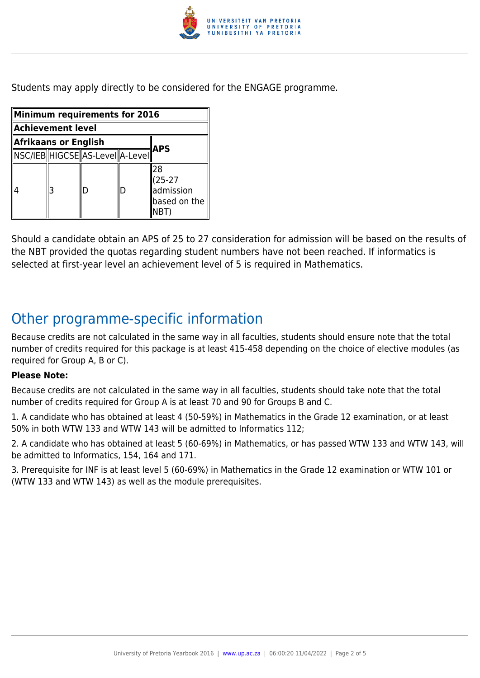

Students may apply directly to be considered for the ENGAGE programme.

| Minimum requirements for 2016 |   |                                 |   |                                                      |  |
|-------------------------------|---|---------------------------------|---|------------------------------------------------------|--|
| Achievement level             |   |                                 |   |                                                      |  |
| Afrikaans or English<br>APS   |   |                                 |   |                                                      |  |
|                               |   | NSC/IEB HIGCSE AS-Level A-Level |   |                                                      |  |
|                               | 3 | D                               | D | 28<br>$(25-27)$<br>admission<br>based on the<br>NBT) |  |

Should a candidate obtain an APS of 25 to 27 consideration for admission will be based on the results of the NBT provided the quotas regarding student numbers have not been reached. If informatics is selected at first-year level an achievement level of 5 is required in Mathematics.

# Other programme-specific information

Because credits are not calculated in the same way in all faculties, students should ensure note that the total number of credits required for this package is at least 415-458 depending on the choice of elective modules (as required for Group A, B or C).

#### **Please Note:**

Because credits are not calculated in the same way in all faculties, students should take note that the total number of credits required for Group A is at least 70 and 90 for Groups B and C.

1. A candidate who has obtained at least 4 (50-59%) in Mathematics in the Grade 12 examination, or at least 50% in both WTW 133 and WTW 143 will be admitted to Informatics 112;

2. A candidate who has obtained at least 5 (60-69%) in Mathematics, or has passed WTW 133 and WTW 143, will be admitted to Informatics, 154, 164 and 171.

3. Prerequisite for INF is at least level 5 (60-69%) in Mathematics in the Grade 12 examination or WTW 101 or (WTW 133 and WTW 143) as well as the module prerequisites.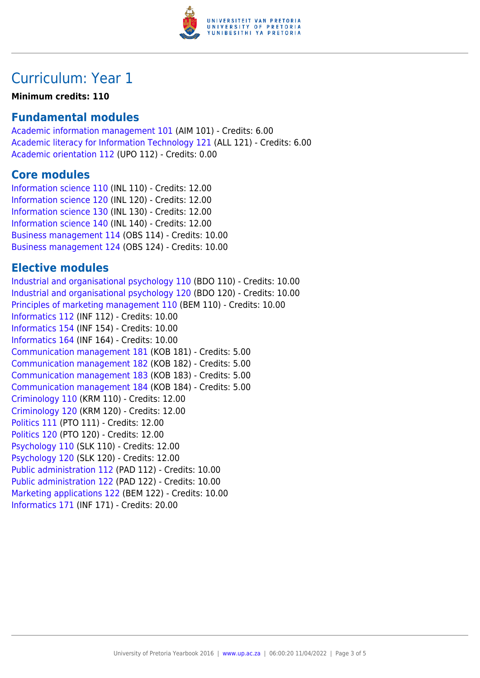

# Curriculum: Year 1

#### **Minimum credits: 110**

## **Fundamental modules**

[Academic information management 101](https://www.up.ac.za/yearbooks/2016/modules/view/AIM 101) (AIM 101) - Credits: 6.00 [Academic literacy for Information Technology 121](https://www.up.ac.za/yearbooks/2016/modules/view/ALL 121) (ALL 121) - Credits: 6.00 [Academic orientation 112](https://www.up.ac.za/yearbooks/2016/modules/view/UPO 112) (UPO 112) - Credits: 0.00

## **Core modules**

[Information science 110](https://www.up.ac.za/yearbooks/2016/modules/view/INL 110) (INL 110) - Credits: 12.00 [Information science 120](https://www.up.ac.za/yearbooks/2016/modules/view/INL 120) (INL 120) - Credits: 12.00 [Information science 130](https://www.up.ac.za/yearbooks/2016/modules/view/INL 130) (INL 130) - Credits: 12.00 [Information science 140](https://www.up.ac.za/yearbooks/2016/modules/view/INL 140) (INL 140) - Credits: 12.00 [Business management 114](https://www.up.ac.za/yearbooks/2016/modules/view/OBS 114) (OBS 114) - Credits: 10.00 [Business management 124](https://www.up.ac.za/yearbooks/2016/modules/view/OBS 124) (OBS 124) - Credits: 10.00

## **Elective modules**

[Industrial and organisational psychology 110](https://www.up.ac.za/yearbooks/2016/modules/view/BDO 110) (BDO 110) - Credits: 10.00 [Industrial and organisational psychology 120](https://www.up.ac.za/yearbooks/2016/modules/view/BDO 120) (BDO 120) - Credits: 10.00 [Principles of marketing management 110](https://www.up.ac.za/yearbooks/2016/modules/view/BEM 110) (BEM 110) - Credits: 10.00 [Informatics 112](https://www.up.ac.za/yearbooks/2016/modules/view/INF 112) (INF 112) - Credits: 10.00 [Informatics 154](https://www.up.ac.za/yearbooks/2016/modules/view/INF 154) (INF 154) - Credits: 10.00 [Informatics 164](https://www.up.ac.za/yearbooks/2016/modules/view/INF 164) (INF 164) - Credits: 10.00 [Communication management 181](https://www.up.ac.za/yearbooks/2016/modules/view/KOB 181) (KOB 181) - Credits: 5.00 [Communication management 182](https://www.up.ac.za/yearbooks/2016/modules/view/KOB 182) (KOB 182) - Credits: 5.00 [Communication management 183](https://www.up.ac.za/yearbooks/2016/modules/view/KOB 183) (KOB 183) - Credits: 5.00 [Communication management 184](https://www.up.ac.za/yearbooks/2016/modules/view/KOB 184) (KOB 184) - Credits: 5.00 [Criminology 110](https://www.up.ac.za/yearbooks/2016/modules/view/KRM 110) (KRM 110) - Credits: 12.00 [Criminology 120](https://www.up.ac.za/yearbooks/2016/modules/view/KRM 120) (KRM 120) - Credits: 12.00 [Politics 111](https://www.up.ac.za/yearbooks/2016/modules/view/PTO 111) (PTO 111) - Credits: 12.00 [Politics 120](https://www.up.ac.za/yearbooks/2016/modules/view/PTO 120) (PTO 120) - Credits: 12.00 [Psychology 110](https://www.up.ac.za/yearbooks/2016/modules/view/SLK 110) (SLK 110) - Credits: 12.00 [Psychology 120](https://www.up.ac.za/yearbooks/2016/modules/view/SLK 120) (SLK 120) - Credits: 12.00 [Public administration 112](https://www.up.ac.za/yearbooks/2016/modules/view/PAD 112) (PAD 112) - Credits: 10.00 [Public administration 122](https://www.up.ac.za/yearbooks/2016/modules/view/PAD 122) (PAD 122) - Credits: 10.00 [Marketing applications 122](https://www.up.ac.za/yearbooks/2016/modules/view/BEM 122) (BEM 122) - Credits: 10.00 [Informatics 171](https://www.up.ac.za/yearbooks/2016/modules/view/INF 171) (INF 171) - Credits: 20.00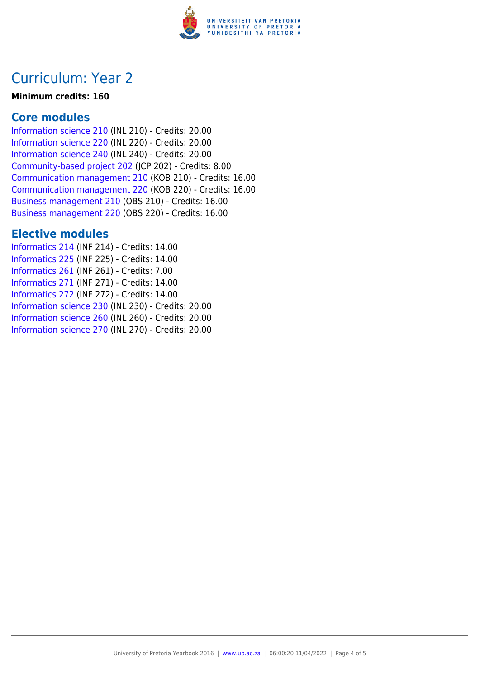

## Curriculum: Year 2

#### **Minimum credits: 160**

## **Core modules**

[Information science 210](https://www.up.ac.za/yearbooks/2016/modules/view/INL 210) (INL 210) - Credits: 20.00 [Information science 220](https://www.up.ac.za/yearbooks/2016/modules/view/INL 220) (INL 220) - Credits: 20.00 [Information science 240](https://www.up.ac.za/yearbooks/2016/modules/view/INL 240) (INL 240) - Credits: 20.00 [Community-based project 202](https://www.up.ac.za/yearbooks/2016/modules/view/JCP 202) (JCP 202) - Credits: 8.00 [Communication management 210](https://www.up.ac.za/yearbooks/2016/modules/view/KOB 210) (KOB 210) - Credits: 16.00 [Communication management 220](https://www.up.ac.za/yearbooks/2016/modules/view/KOB 220) (KOB 220) - Credits: 16.00 [Business management 210](https://www.up.ac.za/yearbooks/2016/modules/view/OBS 210) (OBS 210) - Credits: 16.00 [Business management 220](https://www.up.ac.za/yearbooks/2016/modules/view/OBS 220) (OBS 220) - Credits: 16.00

## **Elective modules**

[Informatics 214](https://www.up.ac.za/yearbooks/2016/modules/view/INF 214) (INF 214) - Credits: 14.00 [Informatics 225](https://www.up.ac.za/yearbooks/2016/modules/view/INF 225) (INF 225) - Credits: 14.00 [Informatics 261](https://www.up.ac.za/yearbooks/2016/modules/view/INF 261) (INF 261) - Credits: 7.00 [Informatics 271](https://www.up.ac.za/yearbooks/2016/modules/view/INF 271) (INF 271) - Credits: 14.00 [Informatics 272](https://www.up.ac.za/yearbooks/2016/modules/view/INF 272) (INF 272) - Credits: 14.00 [Information science 230](https://www.up.ac.za/yearbooks/2016/modules/view/INL 230) (INL 230) - Credits: 20.00 [Information science 260](https://www.up.ac.za/yearbooks/2016/modules/view/INL 260) (INL 260) - Credits: 20.00 [Information science 270](https://www.up.ac.za/yearbooks/2016/modules/view/INL 270) (INL 270) - Credits: 20.00